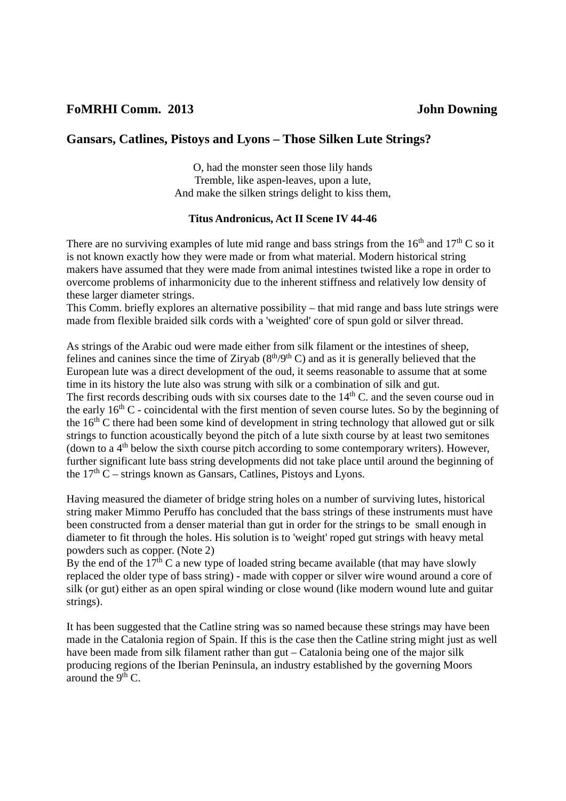# **Gansars, Catlines, Pistoys and Lyons – Those Silken Lute Strings?**

O, had the monster seen those lily hands Tremble, like aspen-leaves, upon a lute, And make the silken strings delight to kiss them,

# **Titus Andronicus, Act II Scene IV 44-46**

There are no surviving examples of lute mid range and bass strings from the  $16<sup>th</sup>$  and  $17<sup>th</sup>$  C so it is not known exactly how they were made or from what material. Modern historical string makers have assumed that they were made from animal intestines twisted like a rope in order to overcome problems of inharmonicity due to the inherent stiffness and relatively low density of these larger diameter strings.

This Comm. briefly explores an alternative possibility – that mid range and bass lute strings were made from flexible braided silk cords with a 'weighted' core of spun gold or silver thread.

As strings of the Arabic oud were made either from silk filament or the intestines of sheep, felines and canines since the time of Ziryab  $(8<sup>th</sup>/9<sup>th</sup>)$  c) and as it is generally believed that the European lute was a direct development of the oud, it seems reasonable to assume that at some time in its history the lute also was strung with silk or a combination of silk and gut. The first records describing ouds with six courses date to the  $14<sup>th</sup>$ C. and the seven course oud in the early  $16<sup>th</sup>$  C - coincidental with the first mention of seven course lutes. So by the beginning of the  $16<sup>th</sup>$ C there had been some kind of development in string technology that allowed gut or silk strings to function acoustically beyond the pitch of a lute sixth course by at least two semitones (down to a  $4<sup>th</sup>$  below the sixth course pitch according to some contemporary writers). However, further significant lute bass string developments did not take place until around the beginning of the  $17<sup>th</sup>$  C – strings known as Gansars, Catlines, Pistoys and Lyons.

Having measured the diameter of bridge string holes on a number of surviving lutes, historical string maker Mimmo Peruffo has concluded that the bass strings of these instruments must have been constructed from a denser material than gut in order for the strings to be small enough in diameter to fit through the holes. His solution is to 'weight' roped gut strings with heavy metal powders such as copper. (Note 2)

By the end of the  $17<sup>th</sup>$ C a new type of loaded string became available (that may have slowly replaced the older type of bass string) - made with copper or silver wire wound around a core of silk (or gut) either as an open spiral winding or close wound (like modern wound lute and guitar strings).

It has been suggested that the Catline string was so named because these strings may have been made in the Catalonia region of Spain. If this is the case then the Catline string might just as well have been made from silk filament rather than gut – Catalonia being one of the major silk producing regions of the Iberian Peninsula, an industry established by the governing Moors around the  $9<sup>th</sup>$  C.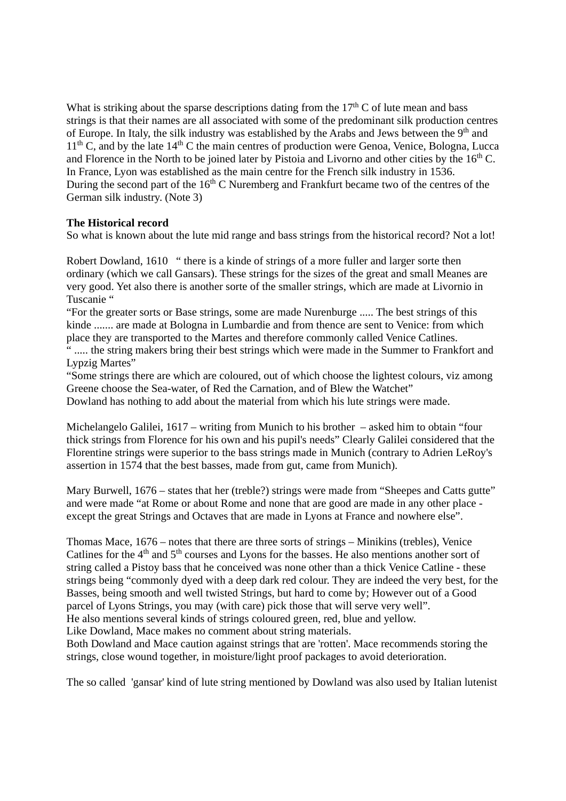What is striking about the sparse descriptions dating from the  $17<sup>th</sup>$ C of lute mean and bass strings is that their names are all associated with some of the predominant silk production centres of Europe. In Italy, the silk industry was established by the Arabs and Jews between the 9<sup>th</sup> and  $11<sup>th</sup>$  C, and by the late  $14<sup>th</sup>$  C the main centres of production were Genoa, Venice, Bologna, Lucca and Florence in the North to be joined later by Pistoia and Livorno and other cities by the  $16<sup>th</sup>$ C. In France, Lyon was established as the main centre for the French silk industry in 1536. During the second part of the  $16<sup>th</sup>$  C Nuremberg and Frankfurt became two of the centres of the German silk industry. (Note 3)

# **The Historical record**

So what is known about the lute mid range and bass strings from the historical record? Not a lot!

Robert Dowland, 1610 " there is a kinde of strings of a more fuller and larger sorte then ordinary (which we call Gansars). These strings for the sizes of the great and small Meanes are very good. Yet also there is another sorte of the smaller strings, which are made at Livornio in Tuscanie "

"For the greater sorts or Base strings, some are made Nurenburge ..... The best strings of this kinde ....... are made at Bologna in Lumbardie and from thence are sent to Venice: from which place they are transported to the Martes and therefore commonly called Venice Catlines.

" ..... the string makers bring their best strings which were made in the Summer to Frankfort and Lypzig Martes"

"Some strings there are which are coloured, out of which choose the lightest colours, viz among Greene choose the Sea-water, of Red the Carnation, and of Blew the Watchet"

Dowland has nothing to add about the material from which his lute strings were made.

Michelangelo Galilei, 1617 – writing from Munich to his brother – asked him to obtain "four thick strings from Florence for his own and his pupil's needs" Clearly Galilei considered that the Florentine strings were superior to the bass strings made in Munich (contrary to Adrien LeRoy's assertion in 1574 that the best basses, made from gut, came from Munich).

Mary Burwell,  $1676$  – states that her (treble?) strings were made from "Sheepes and Catts gutte" and were made "at Rome or about Rome and none that are good are made in any other place except the great Strings and Octaves that are made in Lyons at France and nowhere else".

Thomas Mace, 1676 – notes that there are three sorts of strings – Minikins (trebles), Venice Catlines for the 4<sup>th</sup> and 5<sup>th</sup> courses and Lyons for the basses. He also mentions another sort of string called a Pistoy bass that he conceived was none other than a thick Venice Catline - these strings being "commonly dyed with a deep dark red colour. They are indeed the very best, for the Basses, being smooth and well twisted Strings, but hard to come by; However out of a Good parcel of Lyons Strings, you may (with care) pick those that will serve very well". He also mentions several kinds of strings coloured green, red, blue and yellow.

Like Dowland, Mace makes no comment about string materials.

Both Dowland and Mace caution against strings that are 'rotten'. Mace recommends storing the strings, close wound together, in moisture/light proof packages to avoid deterioration.

The so called 'gansar' kind of lute string mentioned by Dowland was also used by Italian lutenist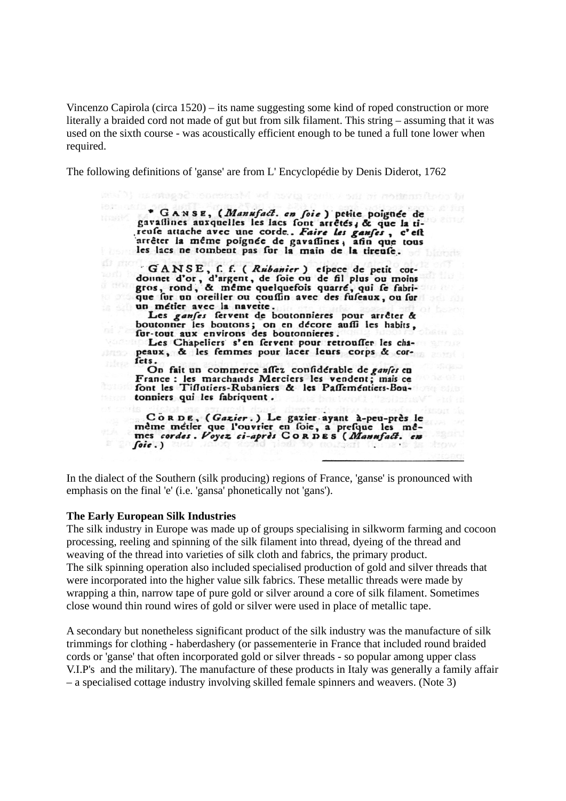Vincenzo Capirola (circa 1520) – its name suggesting some kind of roped construction or more literally a braided cord not made of gut but from silk filament. This string – assuming that it was used on the sixth course - was acoustically efficient enough to be tuned a full tone lower when required.

The following definitions of 'ganse' are from L' Encyclopédie by Denis Diderot, 1762

\* GANSE, (Manufact. en foie) petite poignée de gavailines auxquelles les lacs font arrêtés, & que la tireufe attache avec une corde. Faire les ganses, c'est<br>arrêter la même poignée de gavassines, afin que tous<br>les lacs ne tombent pas fur la main de la tireufe.

GANSE, f. f. (Rubanier) efpece de petit cor-<br>dounet d'or, d'argent, de foie ou de fil plus ou moins<br>gros, rond, & même quelquefois quarré, qui fe fabri-<br>que fur un oreiller ou couffin avec des fuseaux, ou fur un métier avec la navette.

Les ganses fervent de boutonnieres pour arrêter & boutonner les boutons; on en décore auffi les habits, fur-tout aux environs des boutonnieres.

Les Chapeliers s'en fervent pour retrousser les chapeaux, & les femmes pour lacer leurs corps & corfets.

On fait un commerce affez confidérable de ganfes en France: les marchands Merciers les vendent; mais ce font les Tiflutiers-Rubaniers & les Passementiers-Boutonniers qui les fabriquent.

CoRDE, (Gazier.) Le gazier ayant à-peu-près le<br>même métler que l'ouvrier en foie, a presque les mê-<br>mes cordes. Voyez ci-après CORDES (Manufact. en  $\int$ oie.)

In the dialect of the Southern (silk producing) regions of France, 'ganse' is pronounced with emphasis on the final 'e' (i.e. 'gansa' phonetically not 'gans').

#### **The Early European Silk Industries**

The silk industry in Europe was made up of groups specialising in silkworm farming and cocoon processing, reeling and spinning of the silk filament into thread, dyeing of the thread and weaving of the thread into varieties of silk cloth and fabrics, the primary product. The silk spinning operation also included specialised production of gold and silver threads that were incorporated into the higher value silk fabrics. These metallic threads were made by wrapping a thin, narrow tape of pure gold or silver around a core of silk filament. Sometimes close wound thin round wires of gold or silver were used in place of metallic tape.

A secondary but nonetheless significant product of the silk industry was the manufacture of silk trimmings for clothing - haberdashery (or passementerie in France that included round braided cords or 'ganse' that often incorporated gold or silver threads - so popular among upper class V.I.P's and the military). The manufacture of these products in Italy was generally a family affair – a specialised cottage industry involving skilled female spinners and weavers. (Note 3)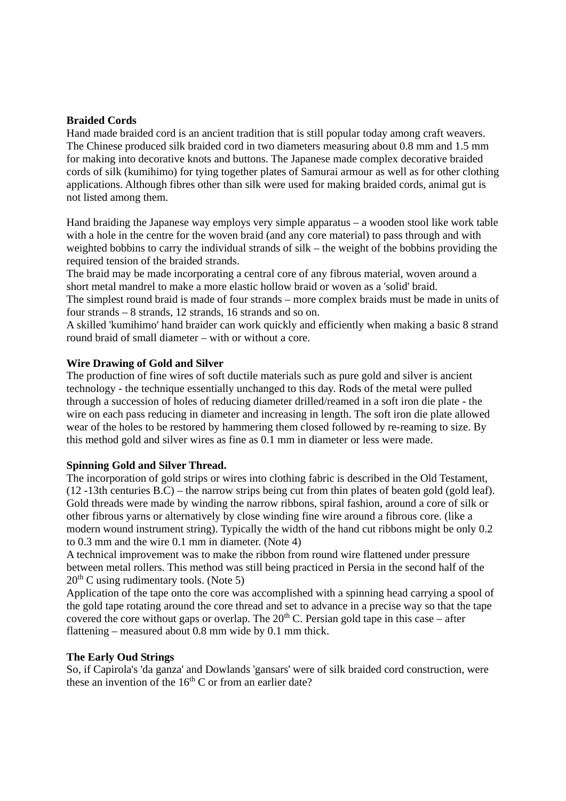### **Braided Cords**

Hand made braided cord is an ancient tradition that is still popular today among craft weavers. The Chinese produced silk braided cord in two diameters measuring about 0.8 mm and 1.5 mm for making into decorative knots and buttons. The Japanese made complex decorative braided cords of silk (kumihimo) for tying together plates of Samurai armour as well as for other clothing applications. Although fibres other than silk were used for making braided cords, animal gut is not listed among them.

Hand braiding the Japanese way employs very simple apparatus – a wooden stool like work table with a hole in the centre for the woven braid (and any core material) to pass through and with weighted bobbins to carry the individual strands of silk – the weight of the bobbins providing the required tension of the braided strands.

The braid may be made incorporating a central core of any fibrous material, woven around a short metal mandrel to make a more elastic hollow braid or woven as a 'solid' braid.

The simplest round braid is made of four strands – more complex braids must be made in units of four strands – 8 strands, 12 strands, 16 strands and so on.

A skilled 'kumihimo' hand braider can work quickly and efficiently when making a basic 8 strand round braid of small diameter – with or without a core.

### **Wire Drawing of Gold and Silver**

The production of fine wires of soft ductile materials such as pure gold and silver is ancient technology - the technique essentially unchanged to this day. Rods of the metal were pulled through a succession of holes of reducing diameter drilled/reamed in a soft iron die plate - the wire on each pass reducing in diameter and increasing in length. The soft iron die plate allowed wear of the holes to be restored by hammering them closed followed by re-reaming to size. By this method gold and silver wires as fine as 0.1 mm in diameter or less were made.

#### **Spinning Gold and Silver Thread.**

The incorporation of gold strips or wires into clothing fabric is described in the Old Testament, (12 -13th centuries B.C) – the narrow strips being cut from thin plates of beaten gold (gold leaf). Gold threads were made by winding the narrow ribbons, spiral fashion, around a core of silk or other fibrous yarns or alternatively by close winding fine wire around a fibrous core. (like a modern wound instrument string). Typically the width of the hand cut ribbons might be only 0.2 to 0.3 mm and the wire 0.1 mm in diameter. (Note 4)

A technical improvement was to make the ribbon from round wire flattened under pressure between metal rollers. This method was still being practiced in Persia in the second half of the  $20<sup>th</sup>$  C using rudimentary tools. (Note 5)

Application of the tape onto the core was accomplished with a spinning head carrying a spool of the gold tape rotating around the core thread and set to advance in a precise way so that the tape covered the core without gaps or overlap. The  $20<sup>th</sup>$  C. Persian gold tape in this case – after flattening – measured about 0.8 mm wide by 0.1 mm thick.

#### **The Early Oud Strings**

So, if Capirola's 'da ganza' and Dowlands 'gansars' were of silk braided cord construction, were these an invention of the  $16<sup>th</sup>$  C or from an earlier date?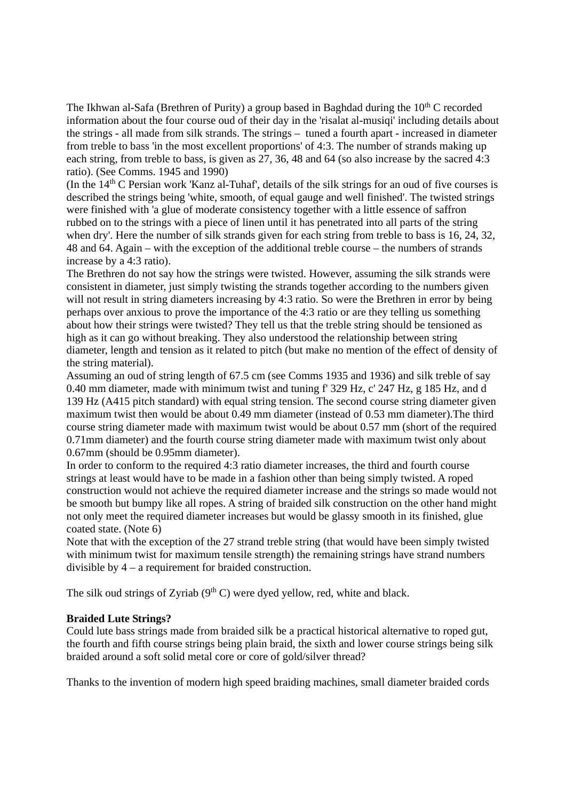The Ikhwan al-Safa (Brethren of Purity) a group based in Baghdad during the  $10<sup>th</sup>$ C recorded information about the four course oud of their day in the 'risalat al-musiqi' including details about the strings - all made from silk strands. The strings – tuned a fourth apart - increased in diameter from treble to bass 'in the most excellent proportions' of 4:3. The number of strands making up each string, from treble to bass, is given as 27, 36, 48 and 64 (so also increase by the sacred 4:3 ratio). (See Comms. 1945 and 1990)

(In the 14th C Persian work 'Kanz al-Tuhaf', details of the silk strings for an oud of five courses is described the strings being 'white, smooth, of equal gauge and well finished'. The twisted strings were finished with 'a glue of moderate consistency together with a little essence of saffron rubbed on to the strings with a piece of linen until it has penetrated into all parts of the string when dry'. Here the number of silk strands given for each string from treble to bass is 16, 24, 32, 48 and 64. Again – with the exception of the additional treble course – the numbers of strands increase by a 4:3 ratio).

The Brethren do not say how the strings were twisted. However, assuming the silk strands were consistent in diameter, just simply twisting the strands together according to the numbers given will not result in string diameters increasing by 4:3 ratio. So were the Brethren in error by being perhaps over anxious to prove the importance of the 4:3 ratio or are they telling us something about how their strings were twisted? They tell us that the treble string should be tensioned as high as it can go without breaking. They also understood the relationship between string diameter, length and tension as it related to pitch (but make no mention of the effect of density of the string material).

Assuming an oud of string length of 67.5 cm (see Comms 1935 and 1936) and silk treble of say 0.40 mm diameter, made with minimum twist and tuning f' 329 Hz, c' 247 Hz, g 185 Hz, and d 139 Hz (A415 pitch standard) with equal string tension. The second course string diameter given maximum twist then would be about 0.49 mm diameter (instead of 0.53 mm diameter).The third course string diameter made with maximum twist would be about 0.57 mm (short of the required 0.71mm diameter) and the fourth course string diameter made with maximum twist only about 0.67mm (should be 0.95mm diameter).

In order to conform to the required 4:3 ratio diameter increases, the third and fourth course strings at least would have to be made in a fashion other than being simply twisted. A roped construction would not achieve the required diameter increase and the strings so made would not be smooth but bumpy like all ropes. A string of braided silk construction on the other hand might not only meet the required diameter increases but would be glassy smooth in its finished, glue coated state. (Note 6)

Note that with the exception of the 27 strand treble string (that would have been simply twisted with minimum twist for maximum tensile strength) the remaining strings have strand numbers divisible by 4 – a requirement for braided construction.

The silk oud strings of Zyriab  $(9<sup>th</sup> C)$  were dyed yellow, red, white and black.

# **Braided Lute Strings?**

Could lute bass strings made from braided silk be a practical historical alternative to roped gut, the fourth and fifth course strings being plain braid, the sixth and lower course strings being silk braided around a soft solid metal core or core of gold/silver thread?

Thanks to the invention of modern high speed braiding machines, small diameter braided cords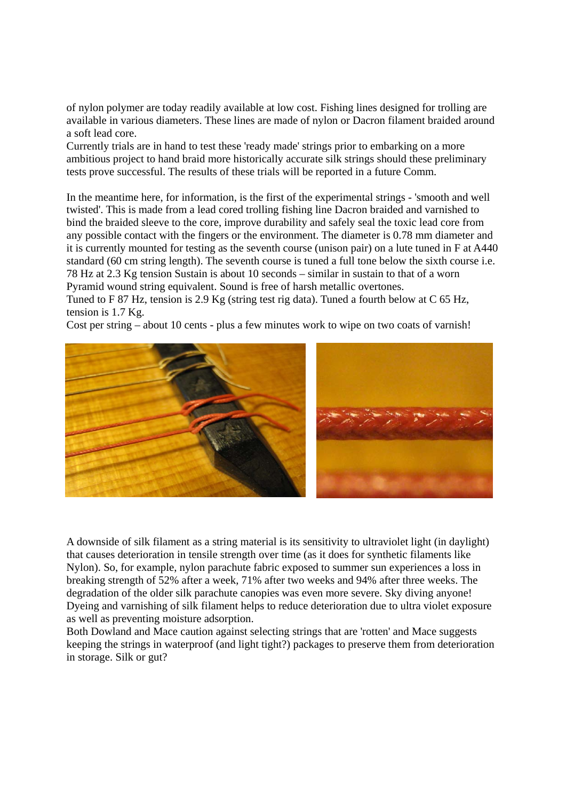of nylon polymer are today readily available at low cost. Fishing lines designed for trolling are available in various diameters. These lines are made of nylon or Dacron filament braided around a soft lead core.

Currently trials are in hand to test these 'ready made' strings prior to embarking on a more ambitious project to hand braid more historically accurate silk strings should these preliminary tests prove successful. The results of these trials will be reported in a future Comm.

In the meantime here, for information, is the first of the experimental strings - 'smooth and well twisted'. This is made from a lead cored trolling fishing line Dacron braided and varnished to bind the braided sleeve to the core, improve durability and safely seal the toxic lead core from any possible contact with the fingers or the environment. The diameter is 0.78 mm diameter and it is currently mounted for testing as the seventh course (unison pair) on a lute tuned in F at A440 standard (60 cm string length). The seventh course is tuned a full tone below the sixth course i.e. 78 Hz at 2.3 Kg tension Sustain is about 10 seconds – similar in sustain to that of a worn Pyramid wound string equivalent. Sound is free of harsh metallic overtones.

Tuned to F 87 Hz, tension is 2.9 Kg (string test rig data). Tuned a fourth below at C 65 Hz, tension is 1.7 Kg.

Cost per string – about 10 cents - plus a few minutes work to wipe on two coats of varnish!



A downside of silk filament as a string material is its sensitivity to ultraviolet light (in daylight) that causes deterioration in tensile strength over time (as it does for synthetic filaments like Nylon). So, for example, nylon parachute fabric exposed to summer sun experiences a loss in breaking strength of 52% after a week, 71% after two weeks and 94% after three weeks. The degradation of the older silk parachute canopies was even more severe. Sky diving anyone! Dyeing and varnishing of silk filament helps to reduce deterioration due to ultra violet exposure as well as preventing moisture adsorption.

Both Dowland and Mace caution against selecting strings that are 'rotten' and Mace suggests keeping the strings in waterproof (and light tight?) packages to preserve them from deterioration in storage. Silk or gut?